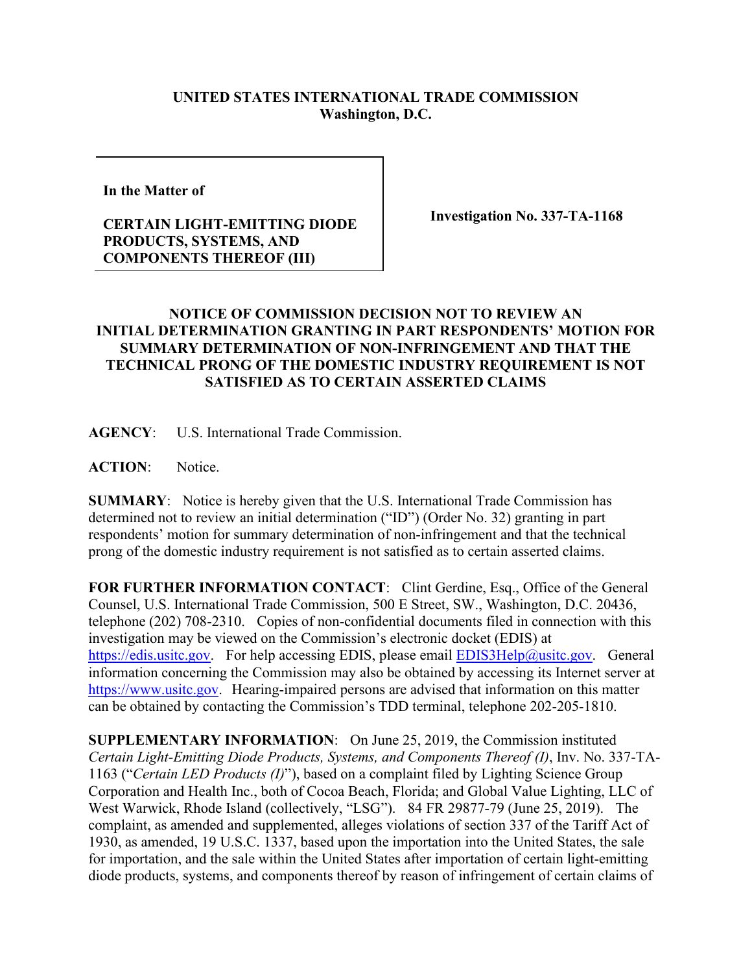## **UNITED STATES INTERNATIONAL TRADE COMMISSION Washington, D.C.**

**In the Matter of** 

## **CERTAIN LIGHT-EMITTING DIODE PRODUCTS, SYSTEMS, AND COMPONENTS THEREOF (III)**

**Investigation No. 337-TA-1168**

## **NOTICE OF COMMISSION DECISION NOT TO REVIEW AN INITIAL DETERMINATION GRANTING IN PART RESPONDENTS' MOTION FOR SUMMARY DETERMINATION OF NON-INFRINGEMENT AND THAT THE TECHNICAL PRONG OF THE DOMESTIC INDUSTRY REQUIREMENT IS NOT SATISFIED AS TO CERTAIN ASSERTED CLAIMS**

**AGENCY**: U.S. International Trade Commission.

**ACTION**: Notice.

**SUMMARY**: Notice is hereby given that the U.S. International Trade Commission has determined not to review an initial determination ("ID") (Order No. 32) granting in part respondents' motion for summary determination of non-infringement and that the technical prong of the domestic industry requirement is not satisfied as to certain asserted claims.

**FOR FURTHER INFORMATION CONTACT**: Clint Gerdine, Esq., Office of the General Counsel, U.S. International Trade Commission, 500 E Street, SW., Washington, D.C. 20436, telephone (202) 708-2310. Copies of non-confidential documents filed in connection with this investigation may be viewed on the Commission's electronic docket (EDIS) at [https://edis.usitc.gov.](https://edis.usitc.gov/) For help accessing EDIS, please email [EDIS3Help@usitc.gov.](mailto:EDIS3Help@usitc.gov) General information concerning the Commission may also be obtained by accessing its Internet server at [https://www.usitc.gov.](https://www.usitc.gov/) Hearing-impaired persons are advised that information on this matter can be obtained by contacting the Commission's TDD terminal, telephone 202-205-1810.

**SUPPLEMENTARY INFORMATION**: On June 25, 2019, the Commission instituted *Certain Light-Emitting Diode Products, Systems, and Components Thereof (I)*, Inv. No. 337-TA-1163 ("*Certain LED Products (I)*"), based on a complaint filed by Lighting Science Group Corporation and Health Inc., both of Cocoa Beach, Florida; and Global Value Lighting, LLC of West Warwick, Rhode Island (collectively, "LSG"). 84 FR 29877-79 (June 25, 2019). The complaint, as amended and supplemented, alleges violations of section 337 of the Tariff Act of 1930, as amended, 19 U.S.C. 1337, based upon the importation into the United States, the sale for importation, and the sale within the United States after importation of certain light-emitting diode products, systems, and components thereof by reason of infringement of certain claims of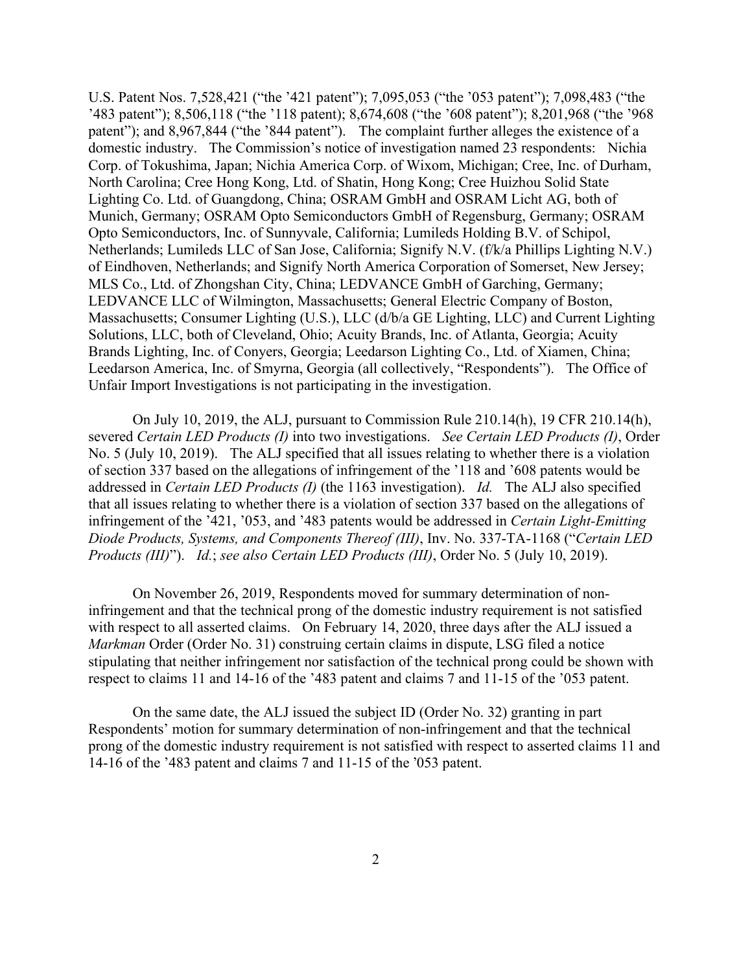U.S. Patent Nos. 7,528,421 ("the '421 patent"); 7,095,053 ("the '053 patent"); 7,098,483 ("the '483 patent"); 8,506,118 ("the '118 patent); 8,674,608 ("the '608 patent"); 8,201,968 ("the '968 patent"); and 8,967,844 ("the '844 patent").The complaint further alleges the existence of a domestic industry. The Commission's notice of investigation named 23 respondents: Nichia Corp. of Tokushima, Japan; Nichia America Corp. of Wixom, Michigan; Cree, Inc. of Durham, North Carolina; Cree Hong Kong, Ltd. of Shatin, Hong Kong; Cree Huizhou Solid State Lighting Co. Ltd. of Guangdong, China; OSRAM GmbH and OSRAM Licht AG, both of Munich, Germany; OSRAM Opto Semiconductors GmbH of Regensburg, Germany; OSRAM Opto Semiconductors, Inc. of Sunnyvale, California; Lumileds Holding B.V. of Schipol, Netherlands; Lumileds LLC of San Jose, California; Signify N.V. (f/k/a Phillips Lighting N.V.) of Eindhoven, Netherlands; and Signify North America Corporation of Somerset, New Jersey; MLS Co., Ltd. of Zhongshan City, China; LEDVANCE GmbH of Garching, Germany; LEDVANCE LLC of Wilmington, Massachusetts; General Electric Company of Boston, Massachusetts; Consumer Lighting (U.S.), LLC (d/b/a GE Lighting, LLC) and Current Lighting Solutions, LLC, both of Cleveland, Ohio; Acuity Brands, Inc. of Atlanta, Georgia; Acuity Brands Lighting, Inc. of Conyers, Georgia; Leedarson Lighting Co., Ltd. of Xiamen, China; Leedarson America, Inc. of Smyrna, Georgia (all collectively, "Respondents"). The Office of Unfair Import Investigations is not participating in the investigation.

On July 10, 2019, the ALJ, pursuant to Commission Rule 210.14(h), 19 CFR 210.14(h), severed *Certain LED Products (I)* into two investigations. *See Certain LED Products (I)*, Order No. 5 (July 10, 2019). The ALJ specified that all issues relating to whether there is a violation of section 337 based on the allegations of infringement of the '118 and '608 patents would be addressed in *Certain LED Products (I)* (the 1163 investigation). *Id.* The ALJ also specified that all issues relating to whether there is a violation of section 337 based on the allegations of infringement of the '421, '053, and '483 patents would be addressed in *Certain Light-Emitting Diode Products, Systems, and Components Thereof (III)*, Inv. No. 337-TA-1168 ("*Certain LED Products (III)*"). *Id.*; *see also Certain LED Products (III)*, Order No. 5 (July 10, 2019).

On November 26, 2019, Respondents moved for summary determination of noninfringement and that the technical prong of the domestic industry requirement is not satisfied with respect to all asserted claims. On February 14, 2020, three days after the ALJ issued a *Markman* Order (Order No. 31) construing certain claims in dispute, LSG filed a notice stipulating that neither infringement nor satisfaction of the technical prong could be shown with respect to claims 11 and 14-16 of the '483 patent and claims 7 and 11-15 of the '053 patent.

On the same date, the ALJ issued the subject ID (Order No. 32) granting in part Respondents' motion for summary determination of non-infringement and that the technical prong of the domestic industry requirement is not satisfied with respect to asserted claims 11 and 14-16 of the '483 patent and claims 7 and 11-15 of the ՚053 patent.